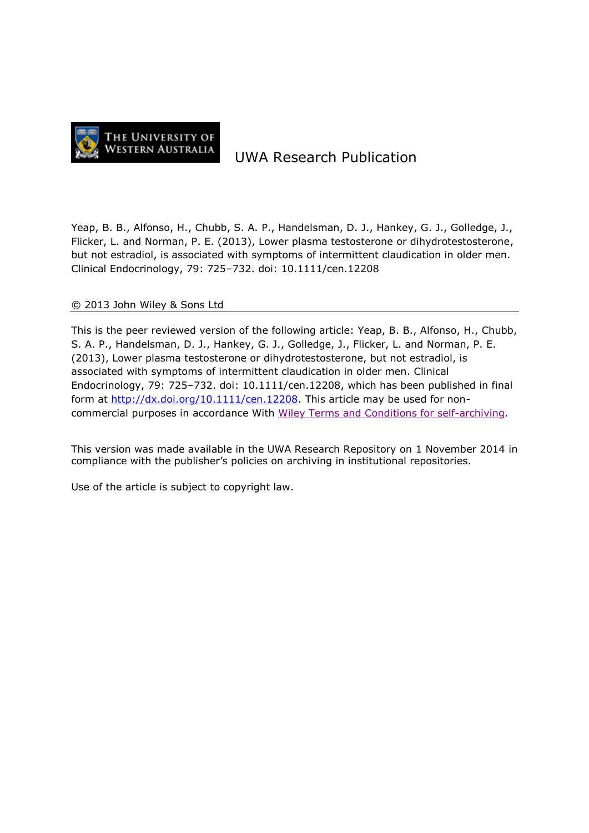

# UWA Research Publication

Yeap, B. B., Alfonso, H., Chubb, S. A. P., Handelsman, D. J., Hankey, G. J., Golledge, J., Flicker, L. and Norman, P. E. (2013), Lower plasma testosterone or dihydrotestosterone, but not estradiol, is associated with symptoms of intermittent claudication in older men. Clinical Endocrinology, 79: 725–732. doi: 10.1111/cen.12208

#### © 2013 John Wiley & Sons Ltd

This is the peer reviewed version of the following article: Yeap, B. B., Alfonso, H., Chubb, S. A. P., Handelsman, D. J., Hankey, G. J., Golledge, J., Flicker, L. and Norman, P. E. (2013), Lower plasma testosterone or dihydrotestosterone, but not estradiol, is associated with symptoms of intermittent claudication in older men. Clinical Endocrinology, 79: 725–732. doi: 10.1111/cen.12208, which has been published in final form at [http://dx.doi.org/10.1111/cen.12208.](http://dx.doi.org/10.1111/cen.12208) This article may be used for noncommercial purposes in accordance With [Wiley Terms and Conditions for self-archiving.](http://olabout.wiley.com/WileyCDA/Section/id-817011.html)

This version was made available in the UWA Research Repository on 1 November 2014 in compliance with the publisher's policies on archiving in institutional repositories.

Use of the article is subject to copyright law.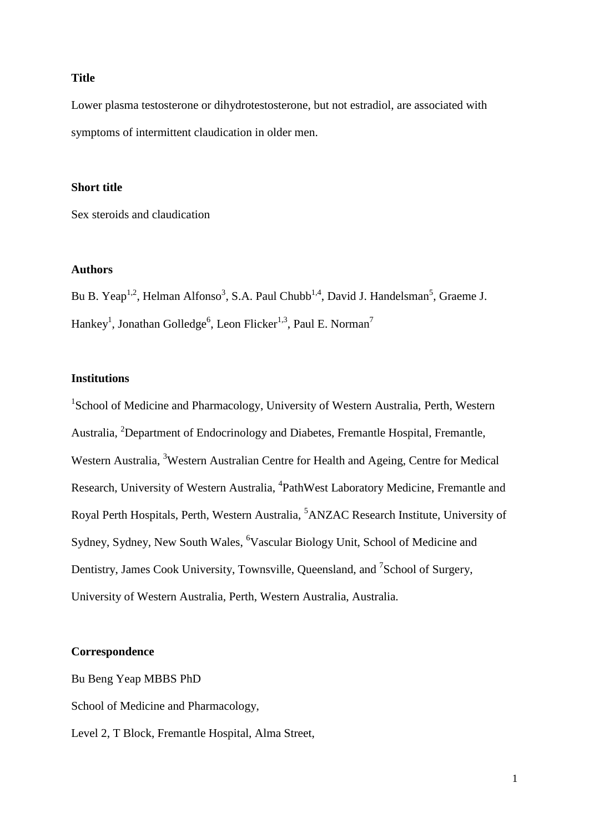#### **Title**

Lower plasma testosterone or dihydrotestosterone, but not estradiol, are associated with symptoms of intermittent claudication in older men.

#### **Short title**

Sex steroids and claudication

## **Authors**

Bu B. Yeap<sup>1,2</sup>, Helman Alfonso<sup>3</sup>, S.A. Paul Chubb<sup>1,4</sup>, David J. Handelsman<sup>5</sup>, Graeme J. Hankey<sup>1</sup>, Jonathan Golledge<sup>6</sup>, Leon Flicker<sup>1,3</sup>, Paul E. Norman<sup>7</sup>

### **Institutions**

<sup>1</sup>School of Medicine and Pharmacology, University of Western Australia, Perth, Western Australia, <sup>2</sup>Department of Endocrinology and Diabetes, Fremantle Hospital, Fremantle, Western Australia, <sup>3</sup>Western Australian Centre for Health and Ageing, Centre for Medical Research, University of Western Australia, <sup>4</sup>PathWest Laboratory Medicine, Fremantle and Royal Perth Hospitals, Perth, Western Australia, <sup>5</sup>ANZAC Research Institute, University of Sydney, Sydney, New South Wales, <sup>6</sup>Vascular Biology Unit, School of Medicine and Dentistry, James Cook University, Townsville, Queensland, and <sup>7</sup>School of Surgery, University of Western Australia, Perth, Western Australia, Australia.

## **Correspondence**

Bu Beng Yeap MBBS PhD

School of Medicine and Pharmacology,

Level 2, T Block, Fremantle Hospital, Alma Street,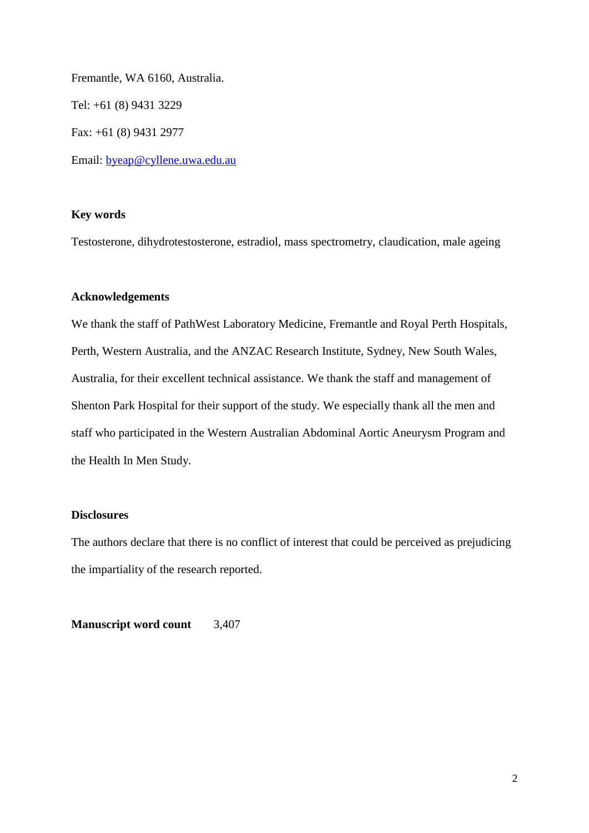Fremantle, WA 6160, Australia. Tel: +61 (8) 9431 3229 Fax: +61 (8) 9431 2977 Email: [byeap@cyllene.uwa.edu.au](mailto:byeap@cyllene.uwa.edu.au)

## **Key words**

Testosterone, dihydrotestosterone, estradiol, mass spectrometry, claudication, male ageing

#### **Acknowledgements**

We thank the staff of PathWest Laboratory Medicine, Fremantle and Royal Perth Hospitals, Perth, Western Australia, and the ANZAC Research Institute, Sydney, New South Wales, Australia, for their excellent technical assistance. We thank the staff and management of Shenton Park Hospital for their support of the study. We especially thank all the men and staff who participated in the Western Australian Abdominal Aortic Aneurysm Program and the Health In Men Study.

## **Disclosures**

The authors declare that there is no conflict of interest that could be perceived as prejudicing the impartiality of the research reported.

**Manuscript word count** 3,407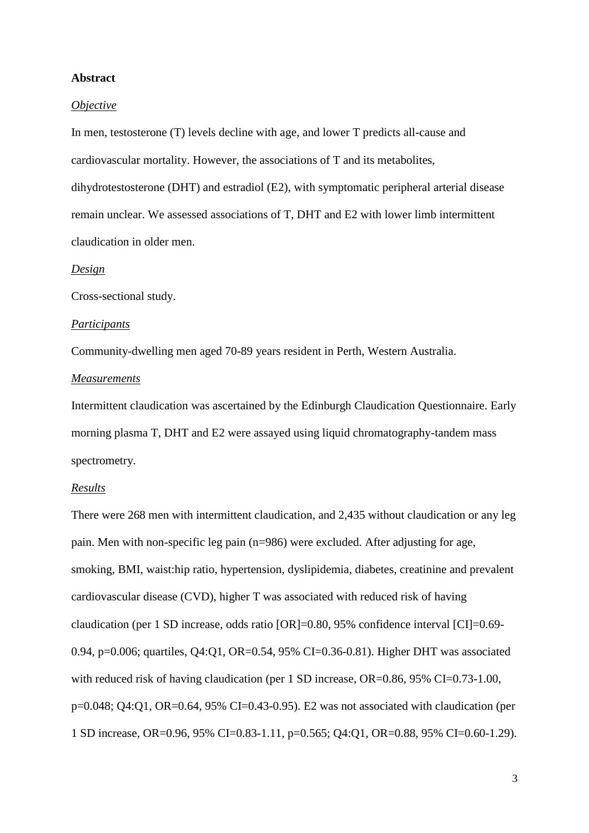#### **Abstract**

#### *Objective*

In men, testosterone (T) levels decline with age, and lower T predicts all-cause and cardiovascular mortality. However, the associations of T and its metabolites, dihydrotestosterone (DHT) and estradiol (E2), with symptomatic peripheral arterial disease remain unclear. We assessed associations of T, DHT and E2 with lower limb intermittent claudication in older men.

#### *Design*

Cross-sectional study.

#### *Participants*

Community-dwelling men aged 70-89 years resident in Perth, Western Australia.

#### *Measurements*

Intermittent claudication was ascertained by the Edinburgh Claudication Questionnaire. Early morning plasma T, DHT and E2 were assayed using liquid chromatography-tandem mass spectrometry.

#### *Results*

There were 268 men with intermittent claudication, and 2,435 without claudication or any leg pain. Men with non-specific leg pain (n=986) were excluded. After adjusting for age, smoking, BMI, waist:hip ratio, hypertension, dyslipidemia, diabetes, creatinine and prevalent cardiovascular disease (CVD), higher T was associated with reduced risk of having claudication (per 1 SD increase, odds ratio [OR]=0.80, 95% confidence interval [CI]=0.69- 0.94, p=0.006; quartiles, Q4:Q1, OR=0.54, 95% CI=0.36-0.81). Higher DHT was associated with reduced risk of having claudication (per 1 SD increase, OR=0.86, 95% CI=0.73-1.00, p=0.048; Q4:Q1, OR=0.64, 95% CI=0.43-0.95). E2 was not associated with claudication (per 1 SD increase, OR=0.96, 95% CI=0.83-1.11, p=0.565; Q4:Q1, OR=0.88, 95% CI=0.60-1.29).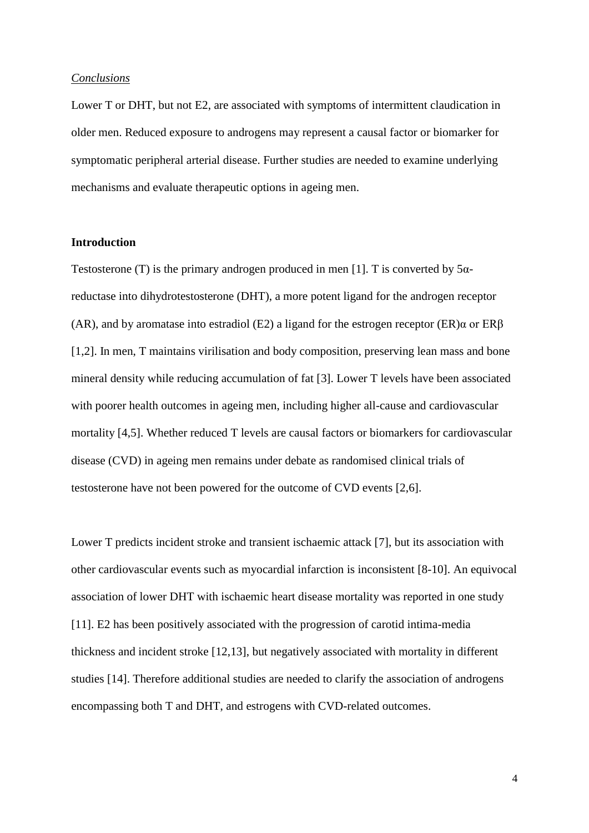#### *Conclusions*

Lower T or DHT, but not E2, are associated with symptoms of intermittent claudication in older men. Reduced exposure to androgens may represent a causal factor or biomarker for symptomatic peripheral arterial disease. Further studies are needed to examine underlying mechanisms and evaluate therapeutic options in ageing men.

#### **Introduction**

Testosterone (T) is the primary androgen produced in men [1]. T is converted by  $5\alpha$ reductase into dihydrotestosterone (DHT), a more potent ligand for the androgen receptor (AR), and by aromatase into estradiol (E2) a ligand for the estrogen receptor  $(ER)\alpha$  or  $ER\beta$ [1,2]. In men, T maintains virilisation and body composition, preserving lean mass and bone mineral density while reducing accumulation of fat [3]. Lower T levels have been associated with poorer health outcomes in ageing men, including higher all-cause and cardiovascular mortality [4,5]. Whether reduced T levels are causal factors or biomarkers for cardiovascular disease (CVD) in ageing men remains under debate as randomised clinical trials of testosterone have not been powered for the outcome of CVD events [2,6].

Lower T predicts incident stroke and transient ischaemic attack [7], but its association with other cardiovascular events such as myocardial infarction is inconsistent [8-10]. An equivocal association of lower DHT with ischaemic heart disease mortality was reported in one study [11]. E2 has been positively associated with the progression of carotid intima-media thickness and incident stroke [12,13], but negatively associated with mortality in different studies [14]. Therefore additional studies are needed to clarify the association of androgens encompassing both T and DHT, and estrogens with CVD-related outcomes.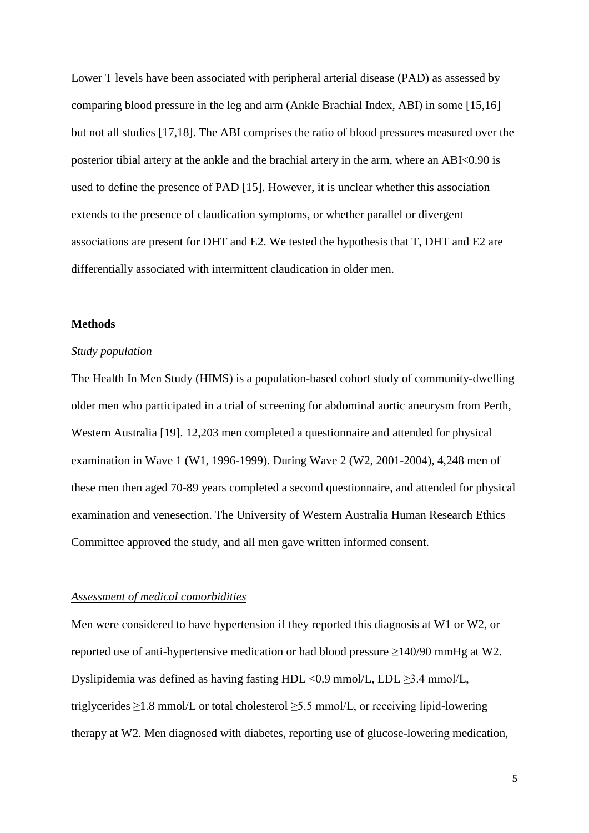Lower T levels have been associated with peripheral arterial disease (PAD) as assessed by comparing blood pressure in the leg and arm (Ankle Brachial Index, ABI) in some [15,16] but not all studies [17,18]. The ABI comprises the ratio of blood pressures measured over the posterior tibial artery at the ankle and the brachial artery in the arm, where an ABI<0.90 is used to define the presence of PAD [15]. However, it is unclear whether this association extends to the presence of claudication symptoms, or whether parallel or divergent associations are present for DHT and E2. We tested the hypothesis that T, DHT and E2 are differentially associated with intermittent claudication in older men.

#### **Methods**

#### *Study population*

The Health In Men Study (HIMS) is a population-based cohort study of community-dwelling older men who participated in a trial of screening for abdominal aortic aneurysm from Perth, Western Australia [19]. 12,203 men completed a questionnaire and attended for physical examination in Wave 1 (W1, 1996-1999). During Wave 2 (W2, 2001-2004), 4,248 men of these men then aged 70-89 years completed a second questionnaire, and attended for physical examination and venesection. The University of Western Australia Human Research Ethics Committee approved the study, and all men gave written informed consent.

#### *Assessment of medical comorbidities*

Men were considered to have hypertension if they reported this diagnosis at W1 or W2, or reported use of anti-hypertensive medication or had blood pressure ≥140/90 mmHg at W2. Dyslipidemia was defined as having fasting HDL <0.9 mmol/L, LDL  $\geq$ 3.4 mmol/L, triglycerides  $\geq$ 1.8 mmol/L or total cholesterol  $\geq$ 5.5 mmol/L, or receiving lipid-lowering therapy at W2. Men diagnosed with diabetes, reporting use of glucose-lowering medication,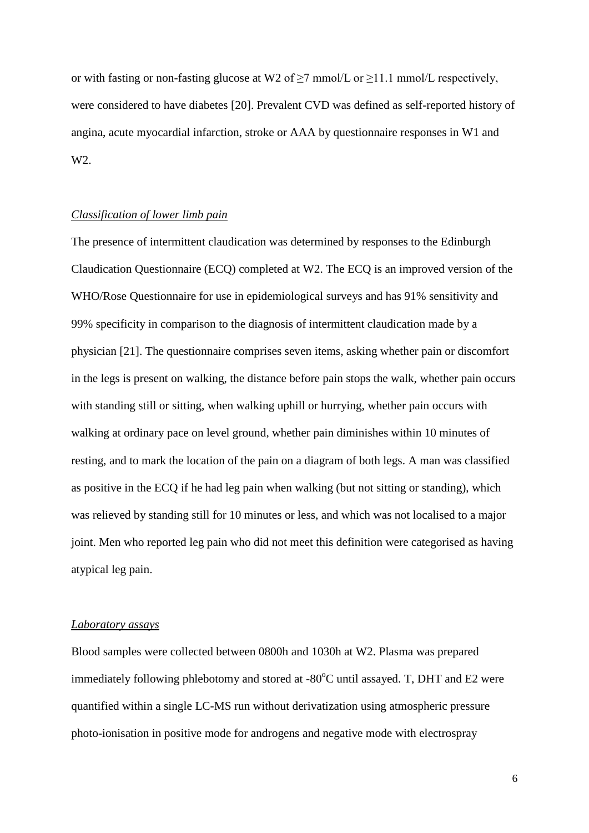or with fasting or non-fasting glucose at W2 of  $\geq$ 7 mmol/L or  $\geq$ 11.1 mmol/L respectively, were considered to have diabetes [20]. Prevalent CVD was defined as self-reported history of angina, acute myocardial infarction, stroke or AAA by questionnaire responses in W1 and W2.

## *Classification of lower limb pain*

The presence of intermittent claudication was determined by responses to the Edinburgh Claudication Questionnaire (ECQ) completed at W2. The ECQ is an improved version of the WHO/Rose Questionnaire for use in epidemiological surveys and has 91% sensitivity and 99% specificity in comparison to the diagnosis of intermittent claudication made by a physician [21]. The questionnaire comprises seven items, asking whether pain or discomfort in the legs is present on walking, the distance before pain stops the walk, whether pain occurs with standing still or sitting, when walking uphill or hurrying, whether pain occurs with walking at ordinary pace on level ground, whether pain diminishes within 10 minutes of resting, and to mark the location of the pain on a diagram of both legs. A man was classified as positive in the ECQ if he had leg pain when walking (but not sitting or standing), which was relieved by standing still for 10 minutes or less, and which was not localised to a major joint. Men who reported leg pain who did not meet this definition were categorised as having atypical leg pain.

#### *Laboratory assays*

Blood samples were collected between 0800h and 1030h at W2. Plasma was prepared immediately following phlebotomy and stored at  $-80^{\circ}$ C until assayed. T, DHT and E2 were quantified within a single LC-MS run without derivatization using atmospheric pressure photo-ionisation in positive mode for androgens and negative mode with electrospray

6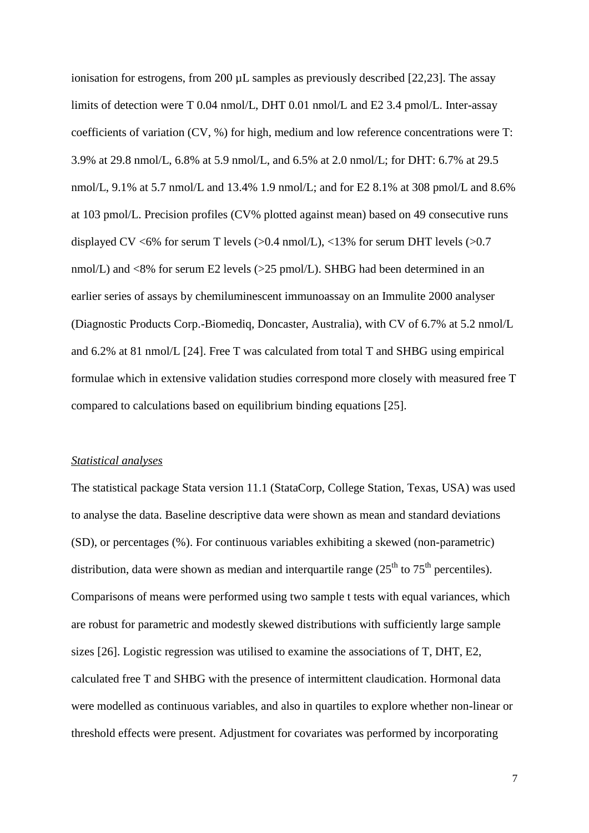ionisation for estrogens, from 200 µL samples as previously described [22,23]. The assay limits of detection were T 0.04 nmol/L, DHT 0.01 nmol/L and E2 3.4 pmol/L. Inter-assay coefficients of variation (CV, %) for high, medium and low reference concentrations were T: 3.9% at 29.8 nmol/L, 6.8% at 5.9 nmol/L, and 6.5% at 2.0 nmol/L; for DHT: 6.7% at 29.5 nmol/L, 9.1% at 5.7 nmol/L and 13.4% 1.9 nmol/L; and for E2 8.1% at 308 pmol/L and 8.6% at 103 pmol/L. Precision profiles (CV% plotted against mean) based on 49 consecutive runs displayed CV <6% for serum T levels (>0.4 nmol/L), <13% for serum DHT levels (>0.7 nmol/L) and <8% for serum E2 levels (>25 pmol/L). SHBG had been determined in an earlier series of assays by chemiluminescent immunoassay on an Immulite 2000 analyser (Diagnostic Products Corp.-Biomediq, Doncaster, Australia), with CV of 6.7% at 5.2 nmol/L and 6.2% at 81 nmol/L [24]. Free T was calculated from total T and SHBG using empirical formulae which in extensive validation studies correspond more closely with measured free T compared to calculations based on equilibrium binding equations [25].

#### *Statistical analyses*

The statistical package Stata version 11.1 (StataCorp, College Station, Texas, USA) was used to analyse the data. Baseline descriptive data were shown as mean and standard deviations (SD), or percentages (%). For continuous variables exhibiting a skewed (non-parametric) distribution, data were shown as median and interquartile range  $(25<sup>th</sup>$  to  $75<sup>th</sup>$  percentiles). Comparisons of means were performed using two sample t tests with equal variances, which are robust for parametric and modestly skewed distributions with sufficiently large sample sizes [26]. Logistic regression was utilised to examine the associations of T, DHT, E2, calculated free T and SHBG with the presence of intermittent claudication. Hormonal data were modelled as continuous variables, and also in quartiles to explore whether non-linear or threshold effects were present. Adjustment for covariates was performed by incorporating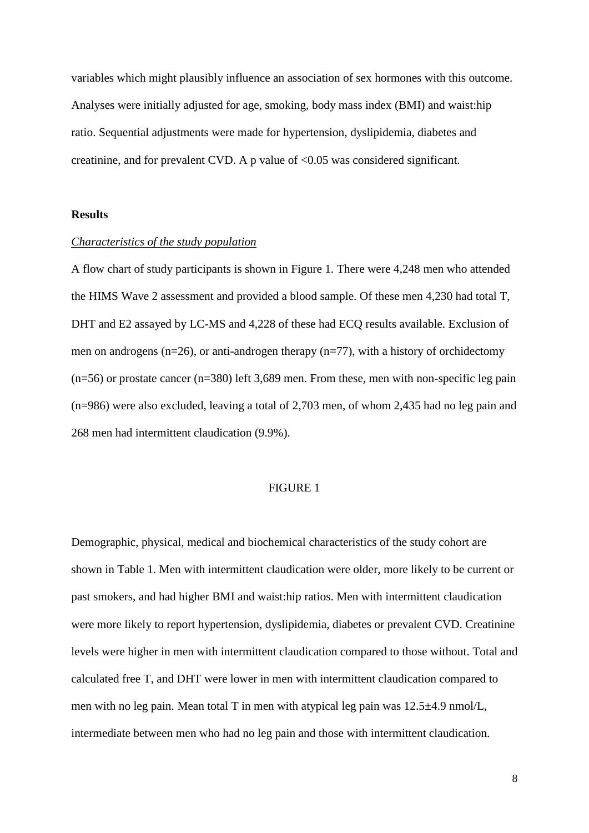variables which might plausibly influence an association of sex hormones with this outcome. Analyses were initially adjusted for age, smoking, body mass index (BMI) and waist:hip ratio. Sequential adjustments were made for hypertension, dyslipidemia, diabetes and creatinine, and for prevalent CVD. A p value of  $\langle 0.05 \rangle$  was considered significant.

#### **Results**

#### *Characteristics of the study population*

A flow chart of study participants is shown in Figure 1. There were 4,248 men who attended the HIMS Wave 2 assessment and provided a blood sample. Of these men 4,230 had total T, DHT and E2 assayed by LC-MS and 4,228 of these had ECQ results available. Exclusion of men on androgens (n=26), or anti-androgen therapy (n=77), with a history of orchidectomy  $(n=56)$  or prostate cancer  $(n=380)$  left 3,689 men. From these, men with non-specific leg pain (n=986) were also excluded, leaving a total of 2,703 men, of whom 2,435 had no leg pain and 268 men had intermittent claudication (9.9%).

#### FIGURE 1

Demographic, physical, medical and biochemical characteristics of the study cohort are shown in Table 1. Men with intermittent claudication were older, more likely to be current or past smokers, and had higher BMI and waist:hip ratios. Men with intermittent claudication were more likely to report hypertension, dyslipidemia, diabetes or prevalent CVD. Creatinine levels were higher in men with intermittent claudication compared to those without. Total and calculated free T, and DHT were lower in men with intermittent claudication compared to men with no leg pain. Mean total T in men with atypical leg pain was 12.5±4.9 nmol/L, intermediate between men who had no leg pain and those with intermittent claudication.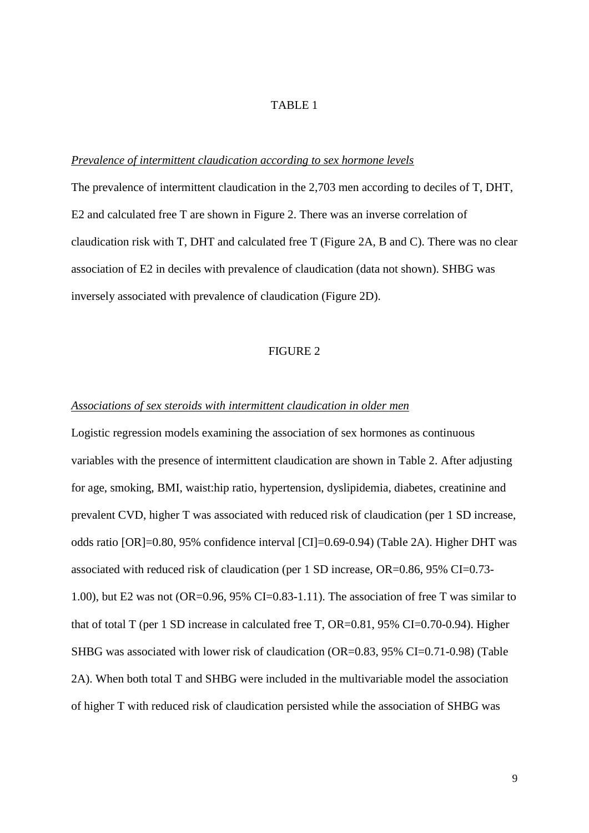## TABLE 1

#### *Prevalence of intermittent claudication according to sex hormone levels*

The prevalence of intermittent claudication in the 2,703 men according to deciles of T, DHT, E2 and calculated free T are shown in Figure 2. There was an inverse correlation of claudication risk with T, DHT and calculated free T (Figure 2A, B and C). There was no clear association of E2 in deciles with prevalence of claudication (data not shown). SHBG was inversely associated with prevalence of claudication (Figure 2D).

#### FIGURE 2

#### *Associations of sex steroids with intermittent claudication in older men*

Logistic regression models examining the association of sex hormones as continuous variables with the presence of intermittent claudication are shown in Table 2. After adjusting for age, smoking, BMI, waist:hip ratio, hypertension, dyslipidemia, diabetes, creatinine and prevalent CVD, higher T was associated with reduced risk of claudication (per 1 SD increase, odds ratio [OR]=0.80, 95% confidence interval [CI]=0.69-0.94) (Table 2A). Higher DHT was associated with reduced risk of claudication (per 1 SD increase, OR=0.86, 95% CI=0.73- 1.00), but E2 was not (OR=0.96, 95% CI=0.83-1.11). The association of free T was similar to that of total T (per 1 SD increase in calculated free T, OR=0.81, 95% CI=0.70-0.94). Higher SHBG was associated with lower risk of claudication (OR=0.83, 95% CI=0.71-0.98) (Table 2A). When both total T and SHBG were included in the multivariable model the association of higher T with reduced risk of claudication persisted while the association of SHBG was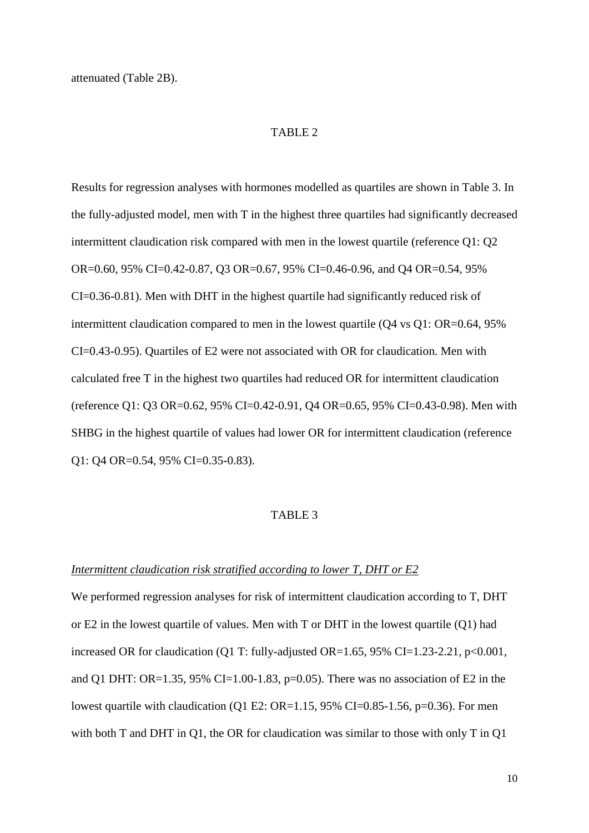#### TABLE 2

Results for regression analyses with hormones modelled as quartiles are shown in Table 3. In the fully-adjusted model, men with T in the highest three quartiles had significantly decreased intermittent claudication risk compared with men in the lowest quartile (reference Q1: Q2 OR=0.60, 95% CI=0.42-0.87, Q3 OR=0.67, 95% CI=0.46-0.96, and Q4 OR=0.54, 95% CI=0.36-0.81). Men with DHT in the highest quartile had significantly reduced risk of intermittent claudication compared to men in the lowest quartile (Q4 vs Q1: OR=0.64, 95% CI=0.43-0.95). Quartiles of E2 were not associated with OR for claudication. Men with calculated free T in the highest two quartiles had reduced OR for intermittent claudication (reference Q1: Q3 OR=0.62, 95% CI=0.42-0.91, Q4 OR=0.65, 95% CI=0.43-0.98). Men with SHBG in the highest quartile of values had lower OR for intermittent claudication (reference Q1: Q4 OR=0.54, 95% CI=0.35-0.83).

#### TABLE 3

#### *Intermittent claudication risk stratified according to lower T, DHT or E2*

We performed regression analyses for risk of intermittent claudication according to T, DHT or E2 in the lowest quartile of values. Men with T or DHT in the lowest quartile (Q1) had increased OR for claudication (Q1 T: fully-adjusted OR=1.65, 95% CI=1.23-2.21,  $p<0.001$ , and Q1 DHT: OR=1.35, 95% CI=1.00-1.83, p=0.05). There was no association of E2 in the lowest quartile with claudication (Q1 E2: OR=1.15, 95% CI=0.85-1.56, p=0.36). For men with both T and DHT in Q1, the OR for claudication was similar to those with only T in Q1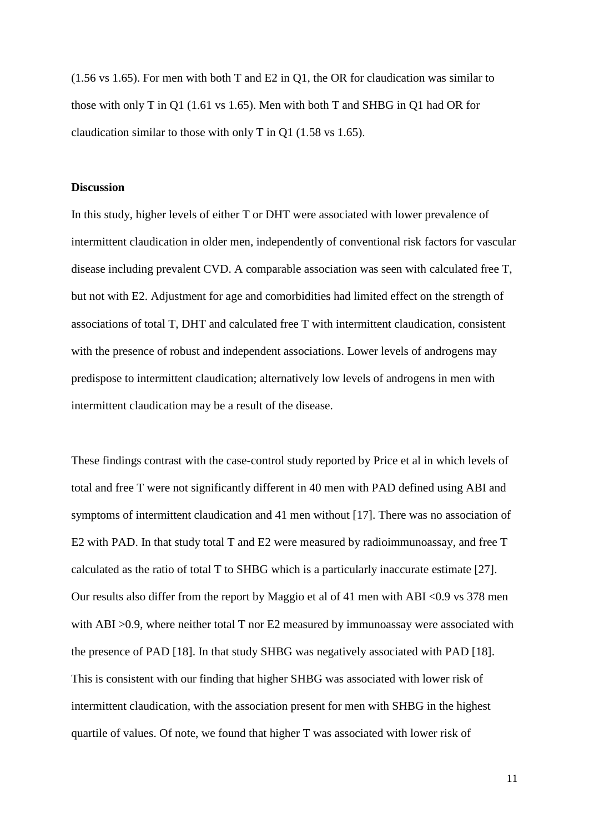(1.56 vs 1.65). For men with both T and E2 in Q1, the OR for claudication was similar to those with only T in Q1 (1.61 vs 1.65). Men with both T and SHBG in Q1 had OR for claudication similar to those with only T in Q1 (1.58 vs 1.65).

#### **Discussion**

In this study, higher levels of either T or DHT were associated with lower prevalence of intermittent claudication in older men, independently of conventional risk factors for vascular disease including prevalent CVD. A comparable association was seen with calculated free T, but not with E2. Adjustment for age and comorbidities had limited effect on the strength of associations of total T, DHT and calculated free T with intermittent claudication, consistent with the presence of robust and independent associations. Lower levels of androgens may predispose to intermittent claudication; alternatively low levels of androgens in men with intermittent claudication may be a result of the disease.

These findings contrast with the case-control study reported by Price et al in which levels of total and free T were not significantly different in 40 men with PAD defined using ABI and symptoms of intermittent claudication and 41 men without [17]. There was no association of E2 with PAD. In that study total T and E2 were measured by radioimmunoassay, and free T calculated as the ratio of total T to SHBG which is a particularly inaccurate estimate [27]. Our results also differ from the report by Maggio et al of 41 men with ABI <0.9 vs 378 men with ABI >0.9, where neither total T nor E2 measured by immunoassay were associated with the presence of PAD [18]. In that study SHBG was negatively associated with PAD [18]. This is consistent with our finding that higher SHBG was associated with lower risk of intermittent claudication, with the association present for men with SHBG in the highest quartile of values. Of note, we found that higher T was associated with lower risk of

11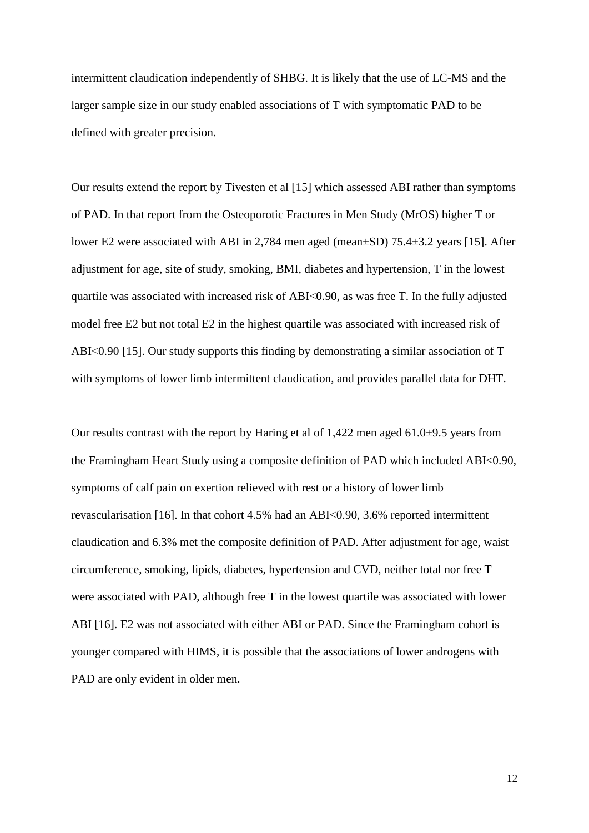intermittent claudication independently of SHBG. It is likely that the use of LC-MS and the larger sample size in our study enabled associations of T with symptomatic PAD to be defined with greater precision.

Our results extend the report by Tivesten et al [15] which assessed ABI rather than symptoms of PAD. In that report from the Osteoporotic Fractures in Men Study (MrOS) higher T or lower E2 were associated with ABI in 2,784 men aged (mean±SD) 75.4±3.2 years [15]. After adjustment for age, site of study, smoking, BMI, diabetes and hypertension, T in the lowest quartile was associated with increased risk of ABI<0.90, as was free T. In the fully adjusted model free E2 but not total E2 in the highest quartile was associated with increased risk of ABI<0.90 [15]. Our study supports this finding by demonstrating a similar association of T with symptoms of lower limb intermittent claudication, and provides parallel data for DHT.

Our results contrast with the report by Haring et al of 1,422 men aged 61.0±9.5 years from the Framingham Heart Study using a composite definition of PAD which included ABI<0.90, symptoms of calf pain on exertion relieved with rest or a history of lower limb revascularisation [16]. In that cohort 4.5% had an ABI<0.90, 3.6% reported intermittent claudication and 6.3% met the composite definition of PAD. After adjustment for age, waist circumference, smoking, lipids, diabetes, hypertension and CVD, neither total nor free T were associated with PAD, although free T in the lowest quartile was associated with lower ABI [16]. E2 was not associated with either ABI or PAD. Since the Framingham cohort is younger compared with HIMS, it is possible that the associations of lower androgens with PAD are only evident in older men.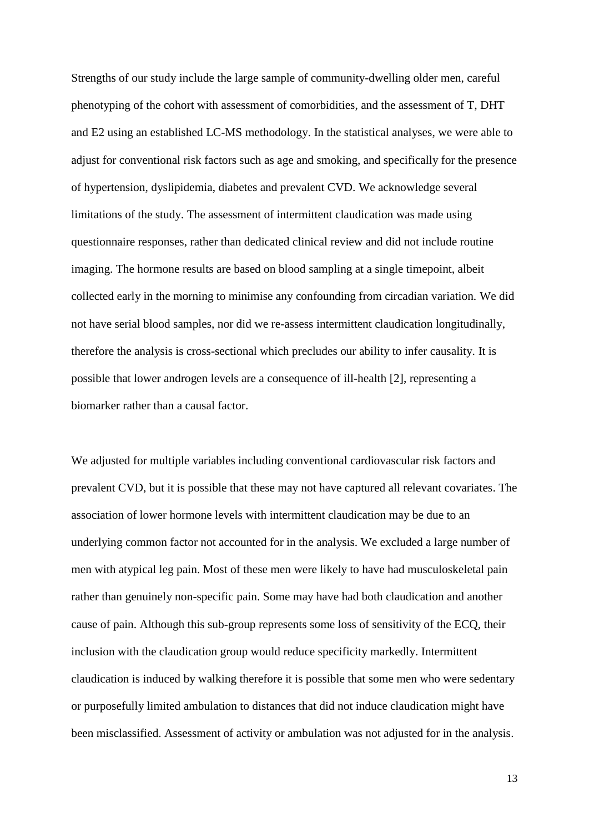Strengths of our study include the large sample of community-dwelling older men, careful phenotyping of the cohort with assessment of comorbidities, and the assessment of T, DHT and E2 using an established LC-MS methodology. In the statistical analyses, we were able to adjust for conventional risk factors such as age and smoking, and specifically for the presence of hypertension, dyslipidemia, diabetes and prevalent CVD. We acknowledge several limitations of the study. The assessment of intermittent claudication was made using questionnaire responses, rather than dedicated clinical review and did not include routine imaging. The hormone results are based on blood sampling at a single timepoint, albeit collected early in the morning to minimise any confounding from circadian variation. We did not have serial blood samples, nor did we re-assess intermittent claudication longitudinally, therefore the analysis is cross-sectional which precludes our ability to infer causality. It is possible that lower androgen levels are a consequence of ill-health [2], representing a biomarker rather than a causal factor.

We adjusted for multiple variables including conventional cardiovascular risk factors and prevalent CVD, but it is possible that these may not have captured all relevant covariates. The association of lower hormone levels with intermittent claudication may be due to an underlying common factor not accounted for in the analysis. We excluded a large number of men with atypical leg pain. Most of these men were likely to have had musculoskeletal pain rather than genuinely non-specific pain. Some may have had both claudication and another cause of pain. Although this sub-group represents some loss of sensitivity of the ECQ, their inclusion with the claudication group would reduce specificity markedly. Intermittent claudication is induced by walking therefore it is possible that some men who were sedentary or purposefully limited ambulation to distances that did not induce claudication might have been misclassified. Assessment of activity or ambulation was not adjusted for in the analysis.

13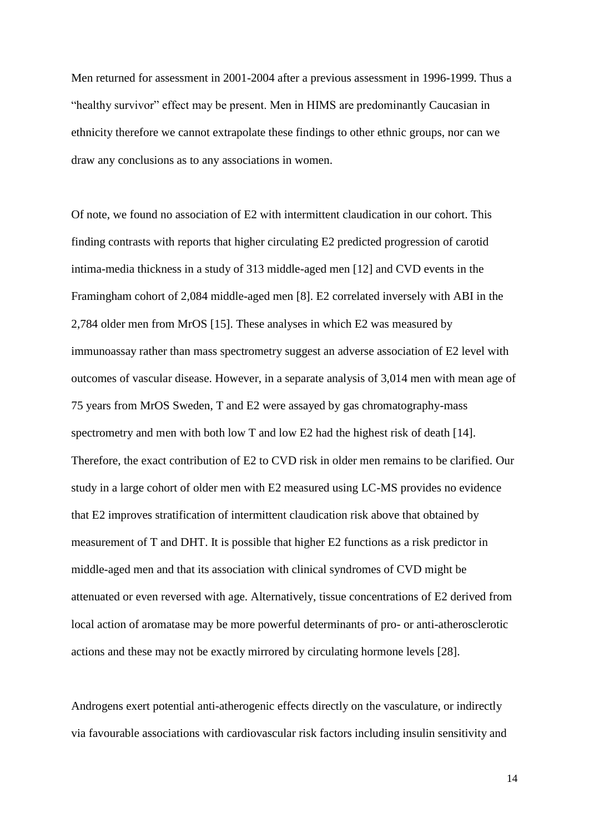Men returned for assessment in 2001-2004 after a previous assessment in 1996-1999. Thus a "healthy survivor" effect may be present. Men in HIMS are predominantly Caucasian in ethnicity therefore we cannot extrapolate these findings to other ethnic groups, nor can we draw any conclusions as to any associations in women.

Of note, we found no association of E2 with intermittent claudication in our cohort. This finding contrasts with reports that higher circulating E2 predicted progression of carotid intima-media thickness in a study of 313 middle-aged men [12] and CVD events in the Framingham cohort of 2,084 middle-aged men [8]. E2 correlated inversely with ABI in the 2,784 older men from MrOS [15]. These analyses in which E2 was measured by immunoassay rather than mass spectrometry suggest an adverse association of E2 level with outcomes of vascular disease. However, in a separate analysis of 3,014 men with mean age of 75 years from MrOS Sweden, T and E2 were assayed by gas chromatography-mass spectrometry and men with both low T and low E2 had the highest risk of death [14]. Therefore, the exact contribution of E2 to CVD risk in older men remains to be clarified. Our study in a large cohort of older men with E2 measured using LC-MS provides no evidence that E2 improves stratification of intermittent claudication risk above that obtained by measurement of T and DHT. It is possible that higher E2 functions as a risk predictor in middle-aged men and that its association with clinical syndromes of CVD might be attenuated or even reversed with age. Alternatively, tissue concentrations of E2 derived from local action of aromatase may be more powerful determinants of pro- or anti-atherosclerotic actions and these may not be exactly mirrored by circulating hormone levels [28].

Androgens exert potential anti-atherogenic effects directly on the vasculature, or indirectly via favourable associations with cardiovascular risk factors including insulin sensitivity and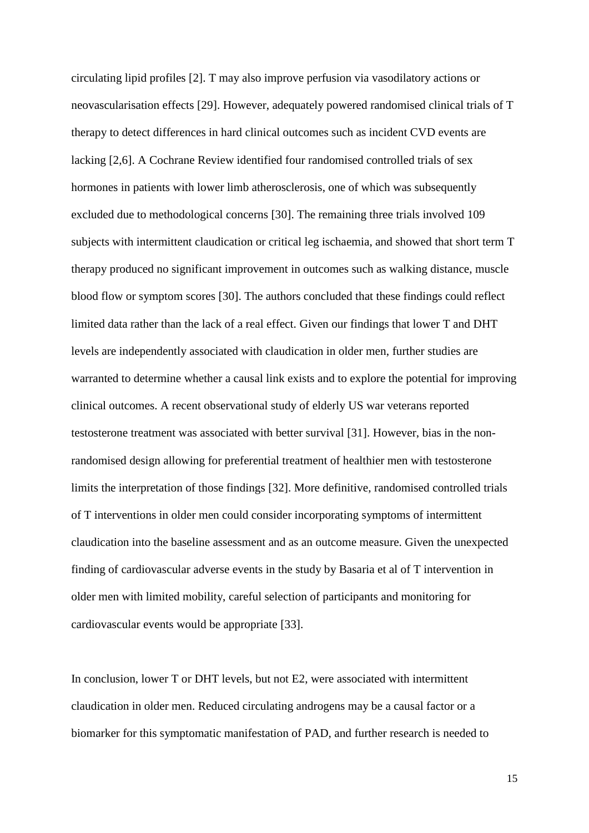circulating lipid profiles [2]. T may also improve perfusion via vasodilatory actions or neovascularisation effects [29]. However, adequately powered randomised clinical trials of T therapy to detect differences in hard clinical outcomes such as incident CVD events are lacking [2,6]. A Cochrane Review identified four randomised controlled trials of sex hormones in patients with lower limb atherosclerosis, one of which was subsequently excluded due to methodological concerns [30]. The remaining three trials involved 109 subjects with intermittent claudication or critical leg ischaemia, and showed that short term T therapy produced no significant improvement in outcomes such as walking distance, muscle blood flow or symptom scores [30]. The authors concluded that these findings could reflect limited data rather than the lack of a real effect. Given our findings that lower T and DHT levels are independently associated with claudication in older men, further studies are warranted to determine whether a causal link exists and to explore the potential for improving clinical outcomes. A recent observational study of elderly US war veterans reported testosterone treatment was associated with better survival [31]. However, bias in the nonrandomised design allowing for preferential treatment of healthier men with testosterone limits the interpretation of those findings [32]. More definitive, randomised controlled trials of T interventions in older men could consider incorporating symptoms of intermittent claudication into the baseline assessment and as an outcome measure. Given the unexpected finding of cardiovascular adverse events in the study by Basaria et al of T intervention in older men with limited mobility, careful selection of participants and monitoring for cardiovascular events would be appropriate [33].

In conclusion, lower T or DHT levels, but not E2, were associated with intermittent claudication in older men. Reduced circulating androgens may be a causal factor or a biomarker for this symptomatic manifestation of PAD, and further research is needed to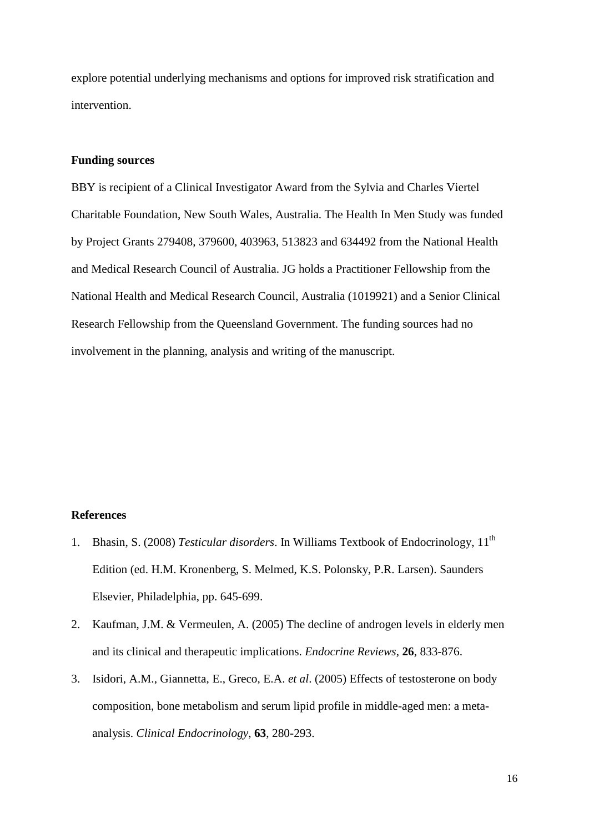explore potential underlying mechanisms and options for improved risk stratification and intervention.

## **Funding sources**

BBY is recipient of a Clinical Investigator Award from the Sylvia and Charles Viertel Charitable Foundation, New South Wales, Australia. The Health In Men Study was funded by Project Grants 279408, 379600, 403963, 513823 and 634492 from the National Health and Medical Research Council of Australia. JG holds a Practitioner Fellowship from the National Health and Medical Research Council, Australia (1019921) and a Senior Clinical Research Fellowship from the Queensland Government. The funding sources had no involvement in the planning, analysis and writing of the manuscript.

## **References**

- 1. Bhasin, S. (2008) *Testicular disorders*. In Williams Textbook of Endocrinology, 11th Edition (ed. H.M. Kronenberg, S. Melmed, K.S. Polonsky, P.R. Larsen). Saunders Elsevier, Philadelphia, pp. 645-699.
- 2. Kaufman, J.M. & Vermeulen, A. (2005) The decline of androgen levels in elderly men and its clinical and therapeutic implications. *Endocrine Reviews*, **26**, 833-876.
- 3. Isidori, A.M., Giannetta, E., Greco, E.A. *et al*. (2005) Effects of testosterone on body composition, bone metabolism and serum lipid profile in middle-aged men: a metaanalysis. *Clinical Endocrinology*, **63**, 280-293.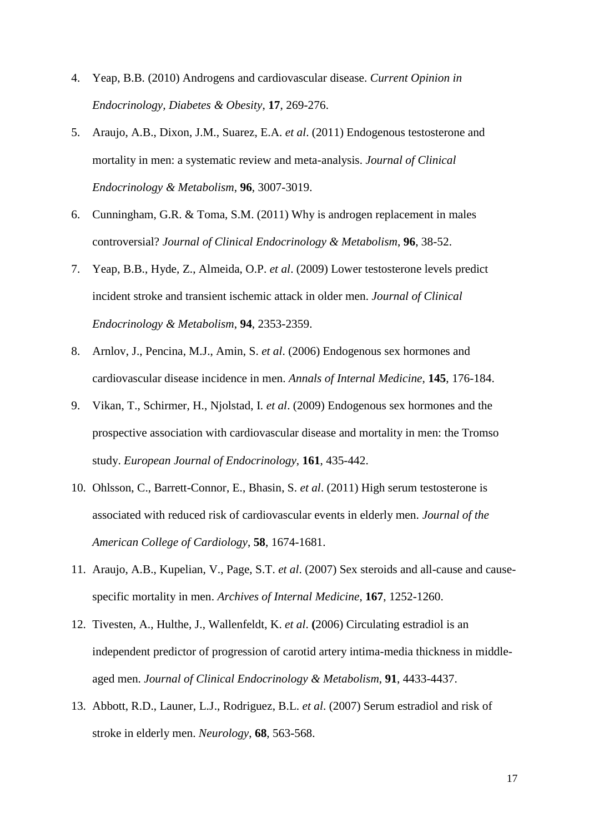- 4. Yeap, B.B. (2010) Androgens and cardiovascular disease. *Current Opinion in Endocrinology, Diabetes & Obesity*, **17**, 269-276.
- 5. Araujo, A.B., Dixon, J.M., Suarez, E.A. *et al*. (2011) Endogenous testosterone and mortality in men: a systematic review and meta-analysis. *Journal of Clinical Endocrinology & Metabolism*, **96**, 3007-3019.
- 6. Cunningham, G.R. & Toma, S.M. (2011) Why is androgen replacement in males controversial? *Journal of Clinical Endocrinology & Metabolism*, **96**, 38-52.
- 7. Yeap, B.B., Hyde, Z., Almeida, O.P. *et al*. (2009) Lower testosterone levels predict incident stroke and transient ischemic attack in older men. *Journal of Clinical Endocrinology & Metabolism*, **94**, 2353-2359.
- 8. Arnlov, J., Pencina, M.J., Amin, S. *et al*. (2006) Endogenous sex hormones and cardiovascular disease incidence in men. *Annals of Internal Medicine*, **145**, 176-184.
- 9. Vikan, T., Schirmer, H., Njolstad, I. *et al*. (2009) Endogenous sex hormones and the prospective association with cardiovascular disease and mortality in men: the Tromso study. *European Journal of Endocrinology*, **161**, 435-442.
- 10. Ohlsson, C., Barrett-Connor, E., Bhasin, S. *et al*. (2011) High serum testosterone is associated with reduced risk of cardiovascular events in elderly men. *Journal of the American College of Cardiology*, **58**, 1674-1681.
- 11. Araujo, A.B., Kupelian, V., Page, S.T. *et al*. (2007) Sex steroids and all-cause and causespecific mortality in men. *Archives of Internal Medicine*, **167**, 1252-1260.
- 12. Tivesten, A., Hulthe, J., Wallenfeldt, K. *et al*. **(**2006) Circulating estradiol is an independent predictor of progression of carotid artery intima-media thickness in middleaged men. *Journal of Clinical Endocrinology & Metabolism*, **91**, 4433-4437.
- 13. Abbott, R.D., Launer, L.J., Rodriguez, B.L. *et al*. (2007) Serum estradiol and risk of stroke in elderly men. *Neurology*, **68**, 563-568.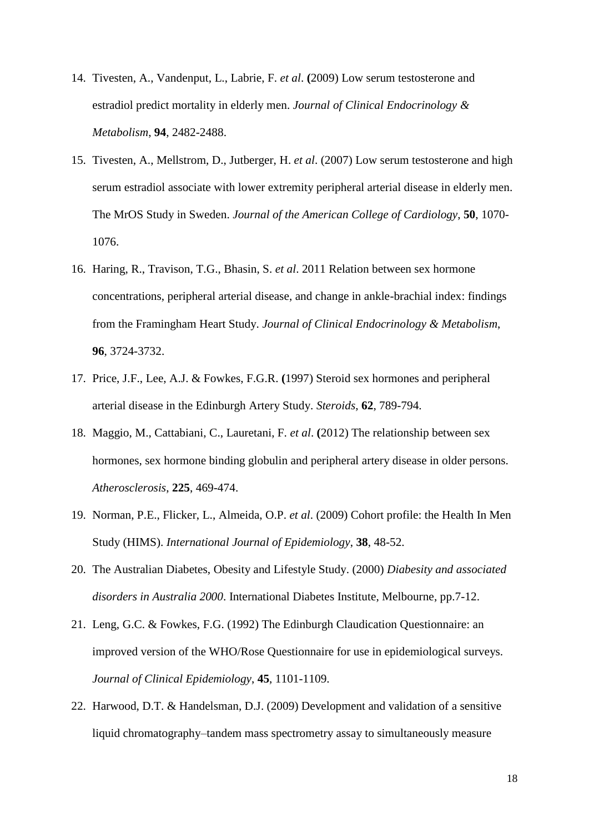- 14. Tivesten, A., Vandenput, L., Labrie, F. *et al*. **(**2009) Low serum testosterone and estradiol predict mortality in elderly men. *Journal of Clinical Endocrinology & Metabolism*, **94**, 2482-2488.
- 15. Tivesten, A., Mellstrom, D., Jutberger, H. *et al*. (2007) Low serum testosterone and high serum estradiol associate with lower extremity peripheral arterial disease in elderly men. The MrOS Study in Sweden. *Journal of the American College of Cardiology*, **50**, 1070- 1076.
- 16. Haring, R., Travison, T.G., Bhasin, S. *et al*. 2011 Relation between sex hormone concentrations, peripheral arterial disease, and change in ankle-brachial index: findings from the Framingham Heart Study. *Journal of Clinical Endocrinology & Metabolism*, **96**, 3724-3732.
- 17. Price, J.F., Lee, A.J. & Fowkes, F.G.R. **(**1997) Steroid sex hormones and peripheral arterial disease in the Edinburgh Artery Study. *Steroids*, **62**, 789-794.
- 18. Maggio, M., Cattabiani, C., Lauretani, F. *et al*. **(**2012) The relationship between sex hormones, sex hormone binding globulin and peripheral artery disease in older persons. *Atherosclerosis*, **225**, 469-474.
- 19. Norman, P.E., Flicker, L., Almeida, O.P. *et al*. (2009) Cohort profile: the Health In Men Study (HIMS). *International Journal of Epidemiology*, **38**, 48-52.
- 20. The Australian Diabetes, Obesity and Lifestyle Study. (2000) *Diabesity and associated disorders in Australia 2000*. International Diabetes Institute, Melbourne, pp.7-12.
- 21. Leng, G.C. & Fowkes, F.G. (1992) The Edinburgh Claudication Questionnaire: an improved version of the WHO/Rose Questionnaire for use in epidemiological surveys. *Journal of Clinical Epidemiology*, **45**, 1101-1109.
- 22. Harwood, D.T. & Handelsman, D.J. (2009) Development and validation of a sensitive liquid chromatography–tandem mass spectrometry assay to simultaneously measure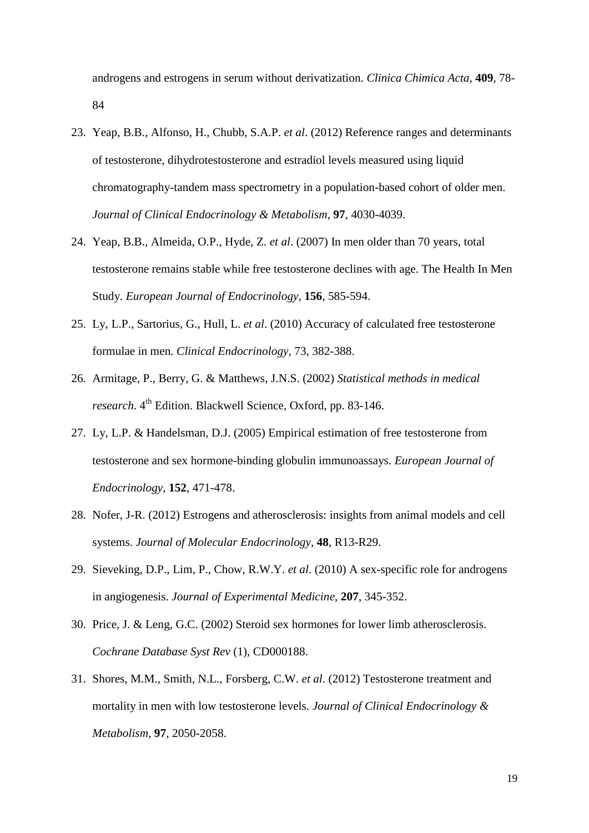androgens and estrogens in serum without derivatization. *Clinica Chimica Acta*, **409**, 78- 84

- 23. Yeap, B.B., Alfonso, H., Chubb, S.A.P. *et al*. (2012) Reference ranges and determinants of testosterone, dihydrotestosterone and estradiol levels measured using liquid chromatography-tandem mass spectrometry in a population-based cohort of older men. *Journal of Clinical Endocrinology & Metabolism*, **97**, 4030-4039.
- 24. Yeap, B.B., Almeida, O.P., Hyde, Z. *et al*. (2007) In men older than 70 years, total testosterone remains stable while free testosterone declines with age. The Health In Men Study. *European Journal of Endocrinology*, **156**, 585-594.
- 25. Ly, L.P., Sartorius, G., Hull, L. *et al*. (2010) Accuracy of calculated free testosterone formulae in men. *Clinical Endocrinology*, 73, 382-388.
- 26. Armitage, P., Berry, G. & Matthews, J.N.S. (2002) *Statistical methods in medical research*. 4<sup>th</sup> Edition. Blackwell Science, Oxford, pp. 83-146.
- 27. Ly, L.P. & Handelsman, D.J. (2005) Empirical estimation of free testosterone from testosterone and sex hormone-binding globulin immunoassays. *European Journal of Endocrinology*, **152**, 471-478.
- 28. Nofer, J-R. (2012) Estrogens and atherosclerosis: insights from animal models and cell systems. *Journal of Molecular Endocrinology*, **48**, R13-R29.
- 29. Sieveking, D.P., Lim, P., Chow, R.W.Y. *et al*. (2010) A sex-specific role for androgens in angiogenesis. *Journal of Experimental Medicine*, **207**, 345-352.
- 30. Price, J. & Leng, G.C. (2002) Steroid sex hormones for lower limb atherosclerosis. *Cochrane Database Syst Rev* (1), CD000188.
- 31. Shores, M.M., Smith, N.L., Forsberg, C.W. *et al*. (2012) Testosterone treatment and mortality in men with low testosterone levels. *Journal of Clinical Endocrinology & Metabolism*, **97**, 2050-2058.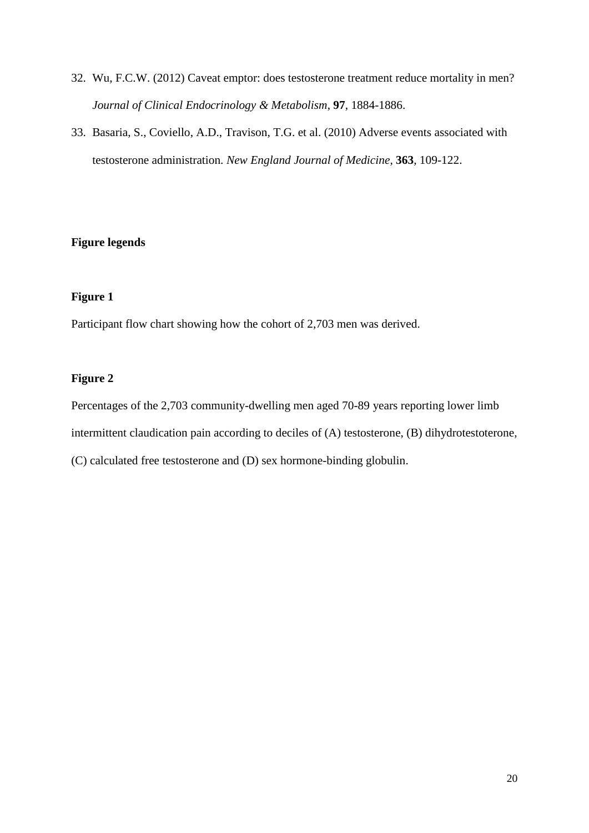- 32. Wu, F.C.W. (2012) Caveat emptor: does testosterone treatment reduce mortality in men? *Journal of Clinical Endocrinology & Metabolism*, **97**, 1884-1886.
- 33. Basaria, S., Coviello, A.D., Travison, T.G. et al. (2010) Adverse events associated with testosterone administration. *New England Journal of Medicine*, **363**, 109-122.

## **Figure legends**

## **Figure 1**

Participant flow chart showing how the cohort of 2,703 men was derived.

## **Figure 2**

Percentages of the 2,703 community-dwelling men aged 70-89 years reporting lower limb intermittent claudication pain according to deciles of (A) testosterone, (B) dihydrotestoterone,

(C) calculated free testosterone and (D) sex hormone-binding globulin.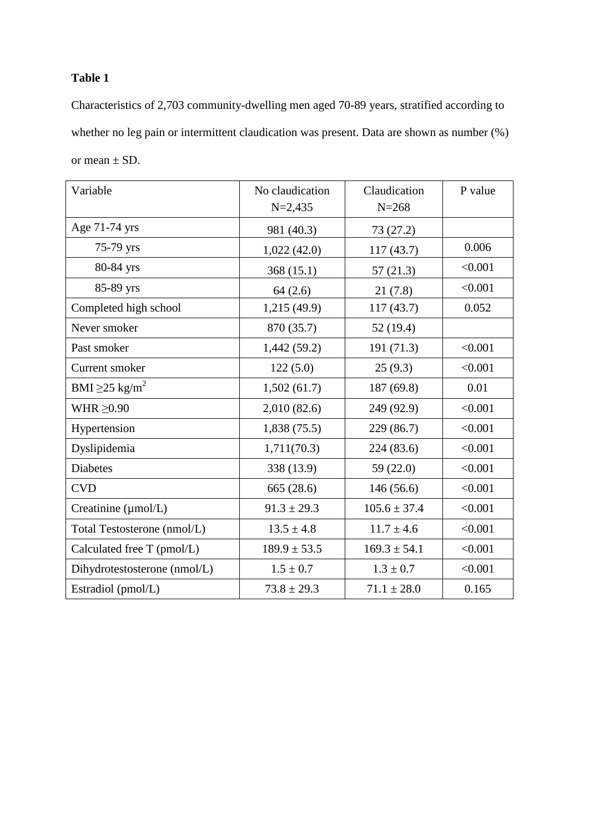## **Table 1**

Characteristics of 2,703 community-dwelling men aged 70-89 years, stratified according to whether no leg pain or intermittent claudication was present. Data are shown as number (%) or mean  $\pm$  SD.

| Variable                        | No claudication<br>$N = 2,435$ | Claudication<br>$N = 268$ | P value |
|---------------------------------|--------------------------------|---------------------------|---------|
| Age 71-74 yrs                   | 981 (40.3)                     | 73 (27.2)                 |         |
| 75-79 yrs                       | 1,022(42.0)                    | 117 (43.7)                | 0.006   |
| 80-84 yrs                       | 368(15.1)                      | 57(21.3)                  | < 0.001 |
| 85-89 yrs                       | 64(2.6)                        | 21(7.8)                   | < 0.001 |
| Completed high school           | 1,215(49.9)                    | 117 (43.7)                | 0.052   |
| Never smoker                    | 870 (35.7)                     | 52(19.4)                  |         |
| Past smoker                     | 1,442(59.2)                    | 191 (71.3)                | < 0.001 |
| Current smoker                  | 122(5.0)                       | 25(9.3)                   | < 0.001 |
| BMI $\geq$ 25 kg/m <sup>2</sup> | 1,502(61.7)                    | 187 (69.8)                | 0.01    |
| WHR $\geq 0.90$                 | 2,010 (82.6)                   | 249 (92.9)                | < 0.001 |
| Hypertension                    | 1,838(75.5)                    | 229 (86.7)                | < 0.001 |
| Dyslipidemia                    | 1,711(70.3)                    | 224 (83.6)                | < 0.001 |
| <b>Diabetes</b>                 | 338 (13.9)                     | 59 (22.0)                 | < 0.001 |
| <b>CVD</b>                      | 665 (28.6)                     | 146(56.6)                 | < 0.001 |
| Creatinine (µmol/L)             | $91.3 \pm 29.3$                | $105.6 \pm 37.4$          | < 0.001 |
| Total Testosterone (nmol/L)     | $13.5 \pm 4.8$                 | $11.7 \pm 4.6$            | < 0.001 |
| Calculated free T (pmol/L)      | $189.9 \pm 53.5$               | $169.3 \pm 54.1$          | < 0.001 |
| Dihydrotestosterone (nmol/L)    | $1.5 \pm 0.7$                  | $1.3 \pm 0.7$             | < 0.001 |
| Estradiol (pmol/L)              | $73.8 \pm 29.3$                | $71.1 \pm 28.0$           | 0.165   |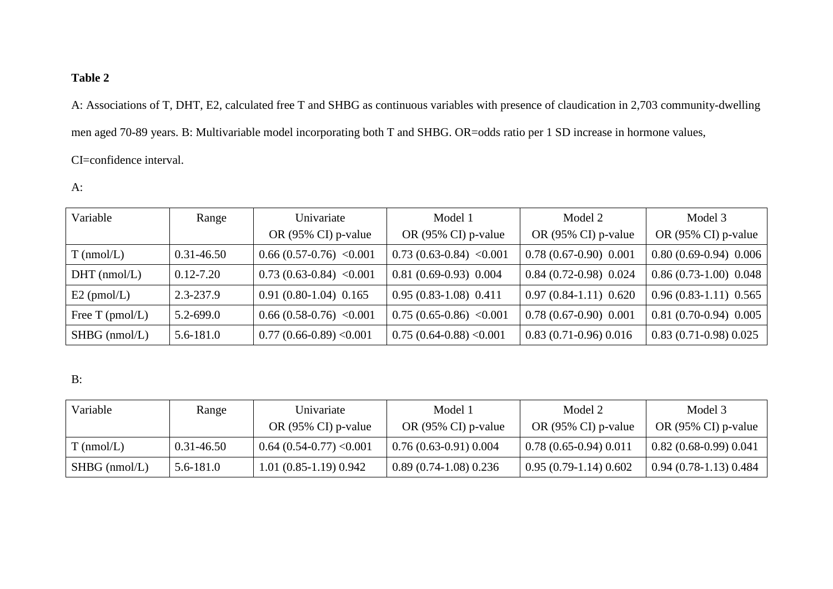## **Table 2**

A: Associations of T, DHT, E2, calculated free T and SHBG as continuous variables with presence of claudication in 2,703 community-dwelling men aged 70-89 years. B: Multivariable model incorporating both T and SHBG. OR=odds ratio per 1 SD increase in hormone values, CI=confidence interval.

## A:

| Variable          | Range          | Univariate                | Model 1                   | Model 2                | Model 3                 |
|-------------------|----------------|---------------------------|---------------------------|------------------------|-------------------------|
|                   |                | OR (95% CI) p-value       | OR (95% CI) p-value       | OR (95% CI) p-value    | OR (95% CI) p-value     |
| $T$ (nmol/L)      | $0.31 - 46.50$ | $0.66(0.57-0.76)$ < 0.001 | $0.73(0.63-0.84) < 0.001$ | $0.78(0.67-0.90)0.001$ | $0.80(0.69-0.94)$ 0.006 |
| $DHT$ (nmol/L)    | $0.12 - 7.20$  | $0.73(0.63-0.84)$ < 0.001 | $0.81(0.69-0.93)0.004$    | $0.84(0.72-0.98)0.024$ | $0.86(0.73-1.00)$ 0.048 |
| $E2$ (pmol/L)     | 2.3-237.9      | $0.91(0.80-1.04)0.165$    | $0.95(0.83-1.08)0.411$    | $0.97(0.84-1.11)0.620$ | $0.96(0.83-1.11)$ 0.565 |
| Free $T$ (pmol/L) | $5.2 - 699.0$  | $0.66(0.58-0.76)$ < 0.001 | $0.75(0.65-0.86)$ < 0.001 | $0.78(0.67-0.90)0.001$ | $0.81(0.70-0.94)$ 0.005 |
| $SHBG$ (nmol/L)   | $5.6 - 181.0$  | $0.77(0.66-0.89) < 0.001$ | $0.75(0.64-0.88)$ < 0.001 | $0.83(0.71-0.96)0.016$ | $0.83(0.71-0.98)0.025$  |

## B:

| Variable        | Range          | Univariate                     | Model 1                        | Model 2                        | Model 3                        |
|-----------------|----------------|--------------------------------|--------------------------------|--------------------------------|--------------------------------|
|                 |                | OR $(95\% \text{ CI})$ p-value | OR $(95\% \text{ CI})$ p-value | OR $(95\% \text{ CI})$ p-value | OR $(95\% \text{ CI})$ p-value |
| $T$ (nmol/L)    | $0.31 - 46.50$ | $0.64(0.54-0.77)<0.001$        | $0.76(0.63-0.91)0.004$         | $0.78(0.65-0.94)0.011$         | $0.82(0.68-0.99)0.041$         |
| $SHBG$ (nmol/L) | 5.6-181.0      | $1.01(0.85-1.19)0.942$         | $0.89(0.74-1.08)0.236$         | $0.95(0.79-1.14)0.602$         | $0.94(0.78-1.13)0.484$         |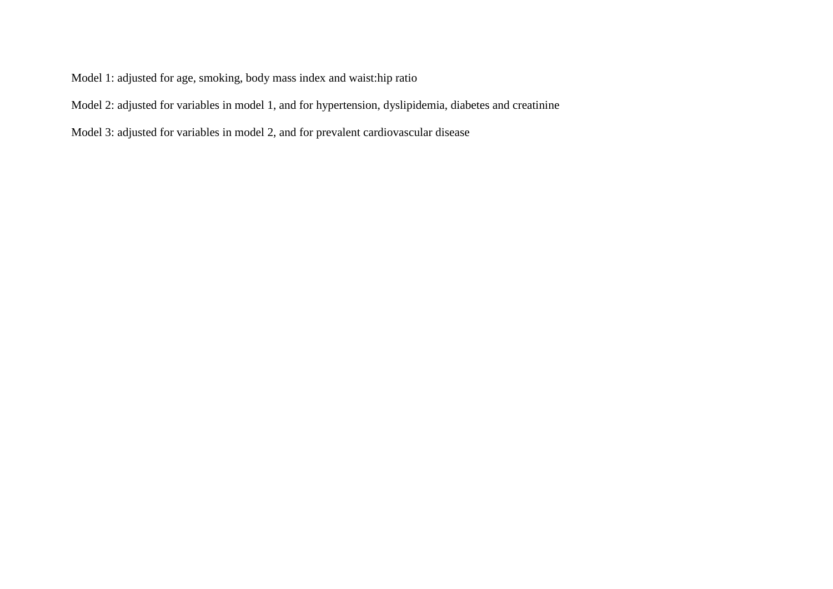Model 1: adjusted for age, smoking, body mass index and waist:hip ratio

Model 2: adjusted for variables in model 1, and for hypertension, dyslipidemia, diabetes and creatinine

Model 3: adjusted for variables in model 2, and for prevalent cardiovascular disease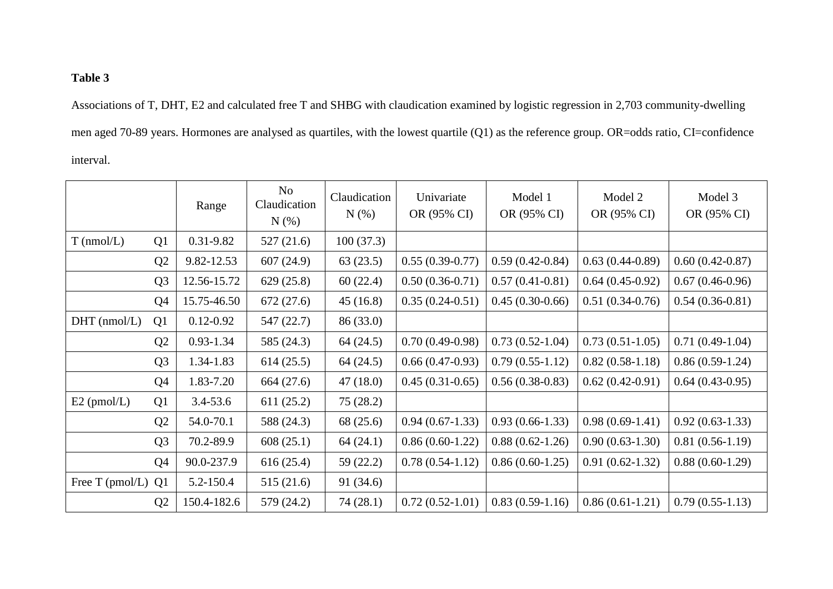# **Table 3**

Associations of T, DHT, E2 and calculated free T and SHBG with claudication examined by logistic regression in 2,703 community-dwelling men aged 70-89 years. Hormones are analysed as quartiles, with the lowest quartile (Q1) as the reference group. OR=odds ratio, CI=confidence interval.

|                 |                | Range         | N <sub>o</sub><br>Claudication<br>$N(\%)$ | Claudication<br>N(%) | Univariate<br>OR (95% CI) | Model 1<br>OR (95% CI) | Model 2<br>OR (95% CI) | Model 3<br>OR (95% CI) |
|-----------------|----------------|---------------|-------------------------------------------|----------------------|---------------------------|------------------------|------------------------|------------------------|
| $T$ (nmol/L)    | Q <sub>1</sub> | 0.31-9.82     | 527(21.6)                                 | 100(37.3)            |                           |                        |                        |                        |
|                 | Q <sub>2</sub> | 9.82-12.53    | 607(24.9)                                 | 63(23.5)             | $0.55(0.39-0.77)$         | $0.59(0.42-0.84)$      | $0.63(0.44-0.89)$      | $0.60(0.42-0.87)$      |
|                 | Q <sub>3</sub> | 12.56-15.72   | 629(25.8)                                 | 60(22.4)             | $0.50(0.36-0.71)$         | $0.57(0.41-0.81)$      | $0.64(0.45-0.92)$      | $0.67(0.46-0.96)$      |
|                 | Q4             | 15.75-46.50   | 672(27.6)                                 | 45(16.8)             | $0.35(0.24-0.51)$         | $0.45(0.30-0.66)$      | $0.51(0.34-0.76)$      | $0.54(0.36-0.81)$      |
| $DHT$ (nmol/L)  | Q1             | $0.12 - 0.92$ | 547(22.7)                                 | 86 (33.0)            |                           |                        |                        |                        |
|                 | Q <sub>2</sub> | $0.93 - 1.34$ | 585 (24.3)                                | 64(24.5)             | $0.70(0.49-0.98)$         | $0.73(0.52-1.04)$      | $0.73(0.51-1.05)$      | $0.71(0.49-1.04)$      |
|                 | Q <sub>3</sub> | 1.34-1.83     | 614(25.5)                                 | 64(24.5)             | $0.66(0.47-0.93)$         | $0.79(0.55-1.12)$      | $0.82(0.58-1.18)$      | $0.86(0.59-1.24)$      |
|                 | Q4             | 1.83-7.20     | 664 (27.6)                                | 47(18.0)             | $0.45(0.31-0.65)$         | $0.56(0.38-0.83)$      | $0.62(0.42-0.91)$      | $0.64(0.43-0.95)$      |
| $E2$ (pmol/L)   | Q1             | $3.4 - 53.6$  | 611(25.2)                                 | 75(28.2)             |                           |                        |                        |                        |
|                 | Q <sub>2</sub> | 54.0-70.1     | 588 (24.3)                                | 68 (25.6)            | $0.94(0.67-1.33)$         | $0.93(0.66-1.33)$      | $0.98(0.69-1.41)$      | $0.92(0.63-1.33)$      |
|                 | Q <sub>3</sub> | 70.2-89.9     | 608(25.1)                                 | 64(24.1)             | $0.86(0.60-1.22)$         | $0.88(0.62 - 1.26)$    | $0.90(0.63-1.30)$      | $0.81(0.56-1.19)$      |
|                 | Q <sub>4</sub> | 90.0-237.9    | 616(25.4)                                 | 59(22.2)             | $0.78(0.54-1.12)$         | $0.86(0.60-1.25)$      | $0.91(0.62-1.32)$      | $0.88(0.60-1.29)$      |
| Free T (pmol/L) | Q <sub>1</sub> | 5.2-150.4     | 515(21.6)                                 | 91 (34.6)            |                           |                        |                        |                        |
|                 | Q <sub>2</sub> | 150.4-182.6   | 579 (24.2)                                | 74(28.1)             | $0.72(0.52-1.01)$         | $0.83(0.59-1.16)$      | $0.86(0.61-1.21)$      | $0.79(0.55-1.13)$      |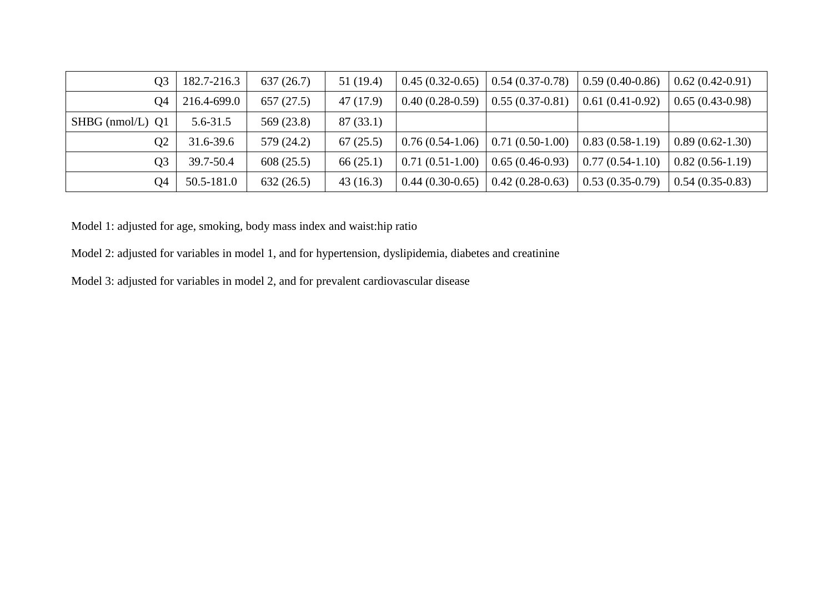| Q <sub>3</sub>       | 182.7-216.3  | 637(26.7)  | 51(19.4)  | $0.45(0.32-0.65)$ | $0.54(0.37-0.78)$ | $0.59(0.40-0.86)$ | $0.62(0.42-0.91)$ |
|----------------------|--------------|------------|-----------|-------------------|-------------------|-------------------|-------------------|
| Ο4                   | 216.4-699.0  | 657(27.5)  | 47 (17.9) | $0.40(0.28-0.59)$ | $0.55(0.37-0.81)$ | $0.61(0.41-0.92)$ | $0.65(0.43-0.98)$ |
| $SHBG$ (nmol/L) $Q1$ | $5.6 - 31.5$ | 569 (23.8) | 87(33.1)  |                   |                   |                   |                   |
| O2                   | 31.6-39.6    | 579 (24.2) | 67(25.5)  | $0.76(0.54-1.06)$ | $0.71(0.50-1.00)$ | $0.83(0.58-1.19)$ | $0.89(0.62-1.30)$ |
| Q3                   | 39.7-50.4    | 608(25.5)  | 66(25.1)  | $0.71(0.51-1.00)$ | $0.65(0.46-0.93)$ | $0.77(0.54-1.10)$ | $0.82(0.56-1.19)$ |
| O4                   | 50.5-181.0   | 632(26.5)  | 43(16.3)  | $0.44(0.30-0.65)$ | $0.42(0.28-0.63)$ | $0.53(0.35-0.79)$ | $0.54(0.35-0.83)$ |

Model 1: adjusted for age, smoking, body mass index and waist:hip ratio

Model 2: adjusted for variables in model 1, and for hypertension, dyslipidemia, diabetes and creatinine

Model 3: adjusted for variables in model 2, and for prevalent cardiovascular disease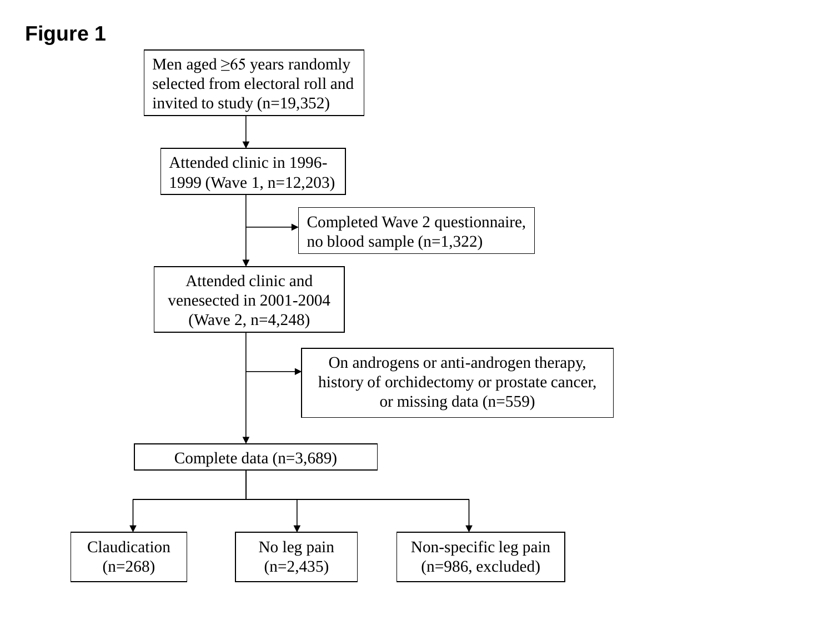# **Figure 1**